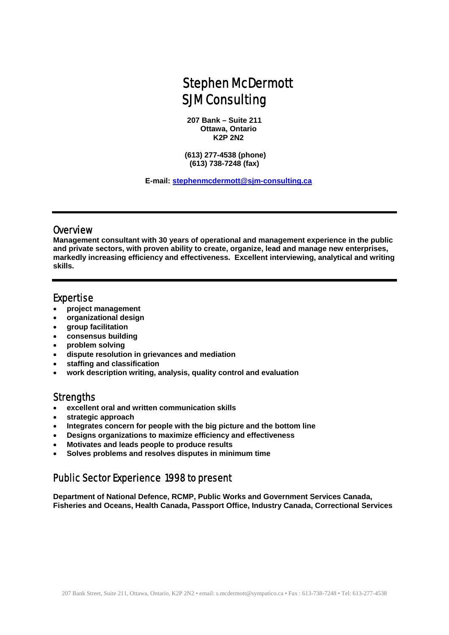# Stephen McDermott SJM Consulting

**207 Bank – Suite 211 Ottawa, Ontario K2P 2N2** 

 **(613) 277-4538 (phone) (613) 738-7248 (fax)** 

 **E-mail: [stephenmcdermott@sjm-consulting.ca](mailto:stephenmcdermott@sjm-consulting.ca)** 

#### **Overview**

**Management consultant with 30 years of operational and management experience in the public and private sectors, with proven ability to create, organize, lead and manage new enterprises, markedly increasing efficiency and effectiveness. Excellent interviewing, analytical and writing skills.** 

#### Expertise

- **project management**
- **organizational design**
- **group facilitation**
- **consensus building**
- **problem solving**
- **dispute resolution in grievances and mediation**
- **staffing and classification**
- **work description writing, analysis, quality control and evaluation**

#### **Strengths**

- **excellent oral and written communication skills**
- **strategic approach**
- **Integrates concern for people with the big picture and the bottom line**
- **Designs organizations to maximize efficiency and effectiveness**
- **Motivates and leads people to produce results**
- **Solves problems and resolves disputes in minimum time**

# Public Sector Experience 1998 to present

**Department of National Defence, RCMP, Public Works and Government Services Canada, Fisheries and Oceans, Health Canada, Passport Office, Industry Canada, Correctional Services**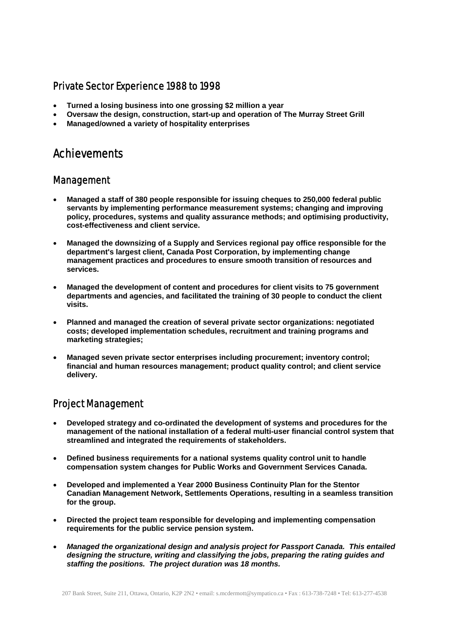## Private Sector Experience 1988 to 1998

- **Turned a losing business into one grossing \$2 million a year**
- **Oversaw the design, construction, start-up and operation of The Murray Street Grill**
- **Managed/owned a variety of hospitality enterprises**

# **Achievements**

#### Management

- **Managed a staff of 380 people responsible for issuing cheques to 250,000 federal public servants by implementing performance measurement systems; changing and improving policy, procedures, systems and quality assurance methods; and optimising productivity, cost-effectiveness and client service.**
- **Managed the downsizing of a Supply and Services regional pay office responsible for the department's largest client, Canada Post Corporation, by implementing change management practices and procedures to ensure smooth transition of resources and services.**
- **Managed the development of content and procedures for client visits to 75 government departments and agencies, and facilitated the training of 30 people to conduct the client visits.**
- **Planned and managed the creation of several private sector organizations: negotiated costs; developed implementation schedules, recruitment and training programs and marketing strategies;**
- **Managed seven private sector enterprises including procurement; inventory control; financial and human resources management; product quality control; and client service delivery.**

## Project Management

- **Developed strategy and co-ordinated the development of systems and procedures for the management of the national installation of a federal multi-user financial control system that streamlined and integrated the requirements of stakeholders.**
- **Defined business requirements for a national systems quality control unit to handle compensation system changes for Public Works and Government Services Canada.**
- **Developed and implemented a Year 2000 Business Continuity Plan for the Stentor Canadian Management Network, Settlements Operations, resulting in a seamless transition for the group.**
- **Directed the project team responsible for developing and implementing compensation requirements for the public service pension system.**
- *Managed the organizational design and analysis project for Passport Canada. This entailed designing the structure, writing and classifying the jobs, preparing the rating guides and staffing the positions. The project duration was 18 months.*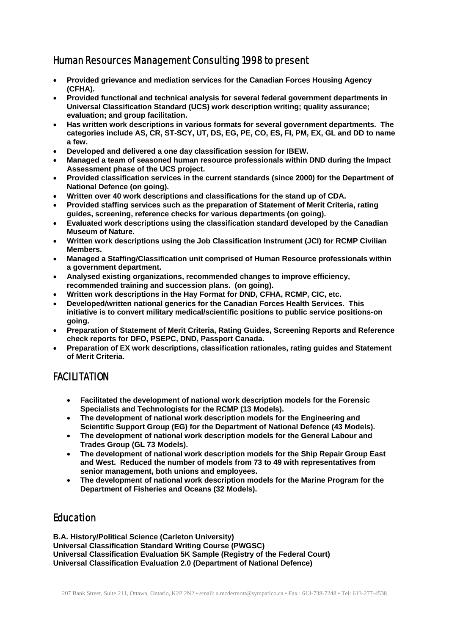# Human Resources Management Consulting 1998 to present

- **Provided grievance and mediation services for the Canadian Forces Housing Agency (CFHA).**
- **Provided functional and technical analysis for several federal government departments in Universal Classification Standard (UCS) work description writing; quality assurance; evaluation; and group facilitation.**
- **Has written work descriptions in various formats for several government departments. The categories include AS, CR, ST-SCY, UT, DS, EG, PE, CO, ES, FI, PM, EX, GL and DD to name a few.**
- **Developed and delivered a one day classification session for IBEW.**
- **Managed a team of seasoned human resource professionals within DND during the Impact Assessment phase of the UCS project.**
- **Provided classification services in the current standards (since 2000) for the Department of National Defence (on going).**
- **Written over 40 work descriptions and classifications for the stand up of CDA.**
- **Provided staffing services such as the preparation of Statement of Merit Criteria, rating guides, screening, reference checks for various departments (on going).**
- **Evaluated work descriptions using the classification standard developed by the Canadian Museum of Nature.**
- **Written work descriptions using the Job Classification Instrument (JCI) for RCMP Civilian Members.**
- **Managed a Staffing/Classification unit comprised of Human Resource professionals within a government department.**
- **Analysed existing organizations, recommended changes to improve efficiency, recommended training and succession plans. (on going).**
- **Written work descriptions in the Hay Format for DND, CFHA, RCMP, CIC, etc.**
- **Developed/written national generics for the Canadian Forces Health Services. This initiative is to convert military medical/scientific positions to public service positions-on going.**
- **Preparation of Statement of Merit Criteria, Rating Guides, Screening Reports and Reference check reports for DFO, PSEPC, DND, Passport Canada.**
- **Preparation of EX work descriptions, classification rationales, rating guides and Statement of Merit Criteria.**

# FACILITATION

- **Facilitated the development of national work description models for the Forensic Specialists and Technologists for the RCMP (13 Models).**
- **The development of national work description models for the Engineering and Scientific Support Group (EG) for the Department of National Defence (43 Models).**
- **The development of national work description models for the General Labour and Trades Group (GL 73 Models).**
- **The development of national work description models for the Ship Repair Group East and West. Reduced the number of models from 73 to 49 with representatives from senior management, both unions and employees.**
- **The development of national work description models for the Marine Program for the Department of Fisheries and Oceans (32 Models).**

# Education

**B.A. History/Political Science (Carleton University) Universal Classification Standard Writing Course (PWGSC) Universal Classification Evaluation 5K Sample (Registry of the Federal Court) Universal Classification Evaluation 2.0 (Department of National Defence)**